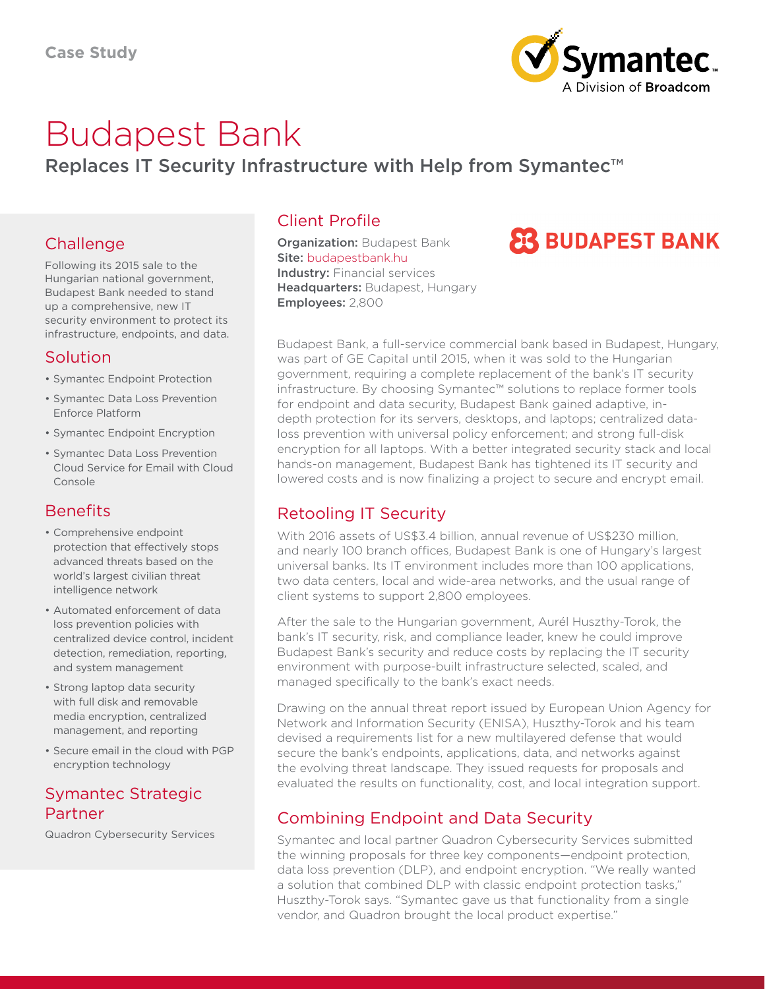

# Budapest Bank

Replaces IT Security Infrastructure with Help from Symantec<sup>™</sup>

#### Challenge

Following its 2015 sale to the Hungarian national government, Budapest Bank needed to stand up a comprehensive, new IT security environment to protect its infrastructure, endpoints, and data.

#### Solution

- Symantec Endpoint Protection
- Symantec Data Loss Prevention Enforce Platform
- Symantec Endpoint Encryption
- Symantec Data Loss Prevention Cloud Service for Email with Cloud Console

#### **Benefits**

- Comprehensive endpoint protection that effectively stops advanced threats based on the world's largest civilian threat intelligence network
- Automated enforcement of data loss prevention policies with centralized device control, incident detection, remediation, reporting, and system management
- Strong laptop data security with full disk and removable media encryption, centralized management, and reporting
- Secure email in the cloud with PGP encryption technology

#### Symantec Strategic Partner

Quadron Cybersecurity Services

### Client Profile

**Organization: Budapest Bank** Site: [budapestbank.hu](https://www.budapestbank.hu/) Industry: Financial services Headquarters: Budapest, Hungary Employees: 2,800

# **23 BUDAPEST BANK**

Budapest Bank, a full-service commercial bank based in Budapest, Hungary, was part of GE Capital until 2015, when it was sold to the Hungarian government, requiring a complete replacement of the bank's IT security infrastructure. By choosing Symantec™ solutions to replace former tools for endpoint and data security, Budapest Bank gained adaptive, indepth protection for its servers, desktops, and laptops; centralized dataloss prevention with universal policy enforcement; and strong full-disk encryption for all laptops. With a better integrated security stack and local hands-on management, Budapest Bank has tightened its IT security and lowered costs and is now finalizing a project to secure and encrypt email.

#### Retooling IT Security

With 2016 assets of US\$3.4 billion, annual revenue of US\$230 million, and nearly 100 branch offices, Budapest Bank is one of Hungary's largest universal banks. Its IT environment includes more than 100 applications, two data centers, local and wide-area networks, and the usual range of client systems to support 2,800 employees.

After the sale to the Hungarian government, Aurél Huszthy-Torok, the bank's IT security, risk, and compliance leader, knew he could improve Budapest Bank's security and reduce costs by replacing the IT security environment with purpose-built infrastructure selected, scaled, and managed specifically to the bank's exact needs.

Drawing on the annual threat report issued by European Union Agency for Network and Information Security (ENISA), Huszthy-Torok and his team devised a requirements list for a new multilayered defense that would secure the bank's endpoints, applications, data, and networks against the evolving threat landscape. They issued requests for proposals and evaluated the results on functionality, cost, and local integration support.

## Combining Endpoint and Data Security

Symantec and local partner Quadron Cybersecurity Services submitted the winning proposals for three key components—endpoint protection, data loss prevention (DLP), and endpoint encryption. "We really wanted a solution that combined DLP with classic endpoint protection tasks," Huszthy-Torok says. "Symantec gave us that functionality from a single vendor, and Quadron brought the local product expertise."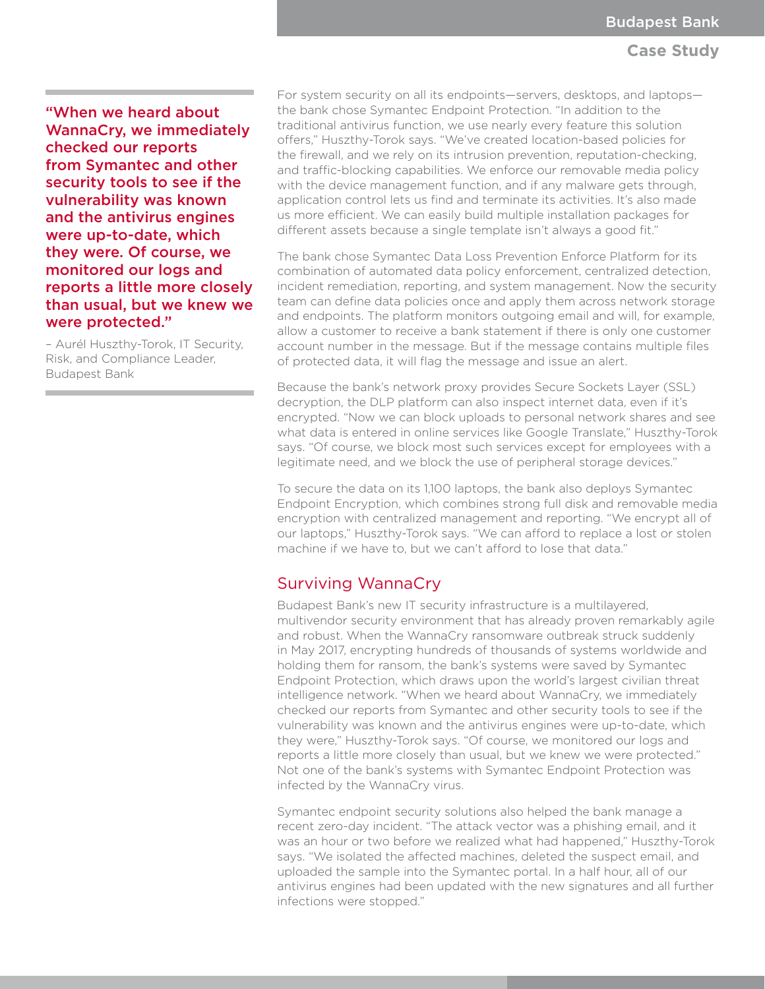#### **Case Study**

"When we heard about WannaCry, we immediately checked our reports from Symantec and other security tools to see if the vulnerability was known and the antivirus engines were up-to-date, which they were. Of course, we monitored our logs and reports a little more closely than usual, but we knew we were protected."

– Aurél Huszthy-Torok, IT Security, Risk, and Compliance Leader, Budapest Bank

For system security on all its endpoints—servers, desktops, and laptops the bank chose Symantec Endpoint Protection. "In addition to the traditional antivirus function, we use nearly every feature this solution offers," Huszthy-Torok says. "We've created location-based policies for the firewall, and we rely on its intrusion prevention, reputation-checking, and traffic-blocking capabilities. We enforce our removable media policy with the device management function, and if any malware gets through, application control lets us find and terminate its activities. It's also made us more efficient. We can easily build multiple installation packages for different assets because a single template isn't always a good fit."

The bank chose Symantec Data Loss Prevention Enforce Platform for its combination of automated data policy enforcement, centralized detection, incident remediation, reporting, and system management. Now the security team can define data policies once and apply them across network storage and endpoints. The platform monitors outgoing email and will, for example, allow a customer to receive a bank statement if there is only one customer account number in the message. But if the message contains multiple files of protected data, it will flag the message and issue an alert.

Because the bank's network proxy provides Secure Sockets Layer (SSL) decryption, the DLP platform can also inspect internet data, even if it's encrypted. "Now we can block uploads to personal network shares and see what data is entered in online services like Google Translate," Huszthy-Torok says. "Of course, we block most such services except for employees with a legitimate need, and we block the use of peripheral storage devices."

To secure the data on its 1,100 laptops, the bank also deploys Symantec Endpoint Encryption, which combines strong full disk and removable media encryption with centralized management and reporting. "We encrypt all of our laptops," Huszthy-Torok says. "We can afford to replace a lost or stolen machine if we have to, but we can't afford to lose that data."

#### Surviving WannaCry

Budapest Bank's new IT security infrastructure is a multilayered, multivendor security environment that has already proven remarkably agile and robust. When the WannaCry ransomware outbreak struck suddenly in May 2017, encrypting hundreds of thousands of systems worldwide and holding them for ransom, the bank's systems were saved by Symantec Endpoint Protection, which draws upon the world's largest civilian threat intelligence network. "When we heard about WannaCry, we immediately checked our reports from Symantec and other security tools to see if the vulnerability was known and the antivirus engines were up-to-date, which they were," Huszthy-Torok says. "Of course, we monitored our logs and reports a little more closely than usual, but we knew we were protected." Not one of the bank's systems with Symantec Endpoint Protection was infected by the WannaCry virus.

Symantec endpoint security solutions also helped the bank manage a recent zero-day incident. "The attack vector was a phishing email, and it was an hour or two before we realized what had happened," Huszthy-Torok says. "We isolated the affected machines, deleted the suspect email, and uploaded the sample into the Symantec portal. In a half hour, all of our antivirus engines had been updated with the new signatures and all further infections were stopped."